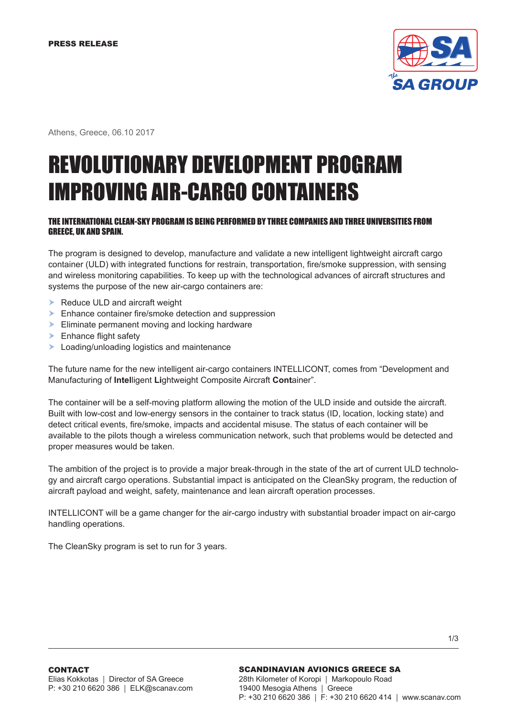

Athens, Greece, 06.10 2017

# REVOLUTIONARY DEVELOPMENT PROGRAM IMPROVING AIR-CARGO CONTAINERS

# THE INTERNATIONAL CLEAN-SKY PROGRAM IS BEING PERFORMED BY THREE COMPANIES AND THREE UNIVERSITIES FROM GREECE, UK AND SPAIN.

The program is designed to develop, manufacture and validate a new intelligent lightweight aircraft cargo container (ULD) with integrated functions for restrain, transportation, fire/smoke suppression, with sensing and wireless monitoring capabilities. To keep up with the technological advances of aircraft structures and systems the purpose of the new air-cargo containers are:

- Reduce ULD and aircraft weight
- **Enhance container fire/smoke detection and suppression**
- Eliminate permanent moving and locking hardware
- **Enhance flight safety**
- **Loading/unloading logistics and maintenance**

The future name for the new intelligent air-cargo containers INTELLICONT, comes from "Development and Manufacturing of **Intel**ligent **Li**ghtweight Composite Aircraft **Cont**ainer".

The container will be a self-moving platform allowing the motion of the ULD inside and outside the aircraft. Built with low-cost and low-energy sensors in the container to track status (ID, location, locking state) and detect critical events, fire/smoke, impacts and accidental misuse. The status of each container will be available to the pilots though a wireless communication network, such that problems would be detected and proper measures would be taken.

The ambition of the project is to provide a major break-through in the state of the art of current ULD technology and aircraft cargo operations. Substantial impact is anticipated on the CleanSky program, the reduction of aircraft payload and weight, safety, maintenance and lean aircraft operation processes.

INTELLICONT will be a game changer for the air-cargo industry with substantial broader impact on air-cargo handling operations.

The CleanSky program is set to run for 3 years.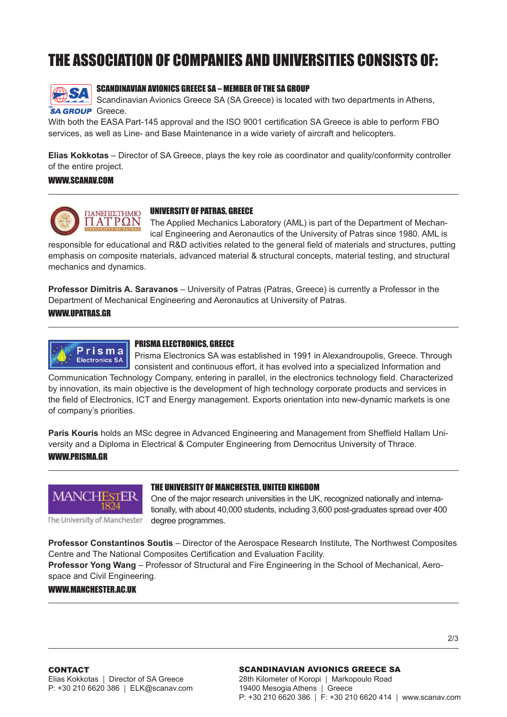# THE ASSOCIATION OF COMPANIES AND UNIVERSITIES CONSISTS OF:



# SCANDINAVIAN AVIONICS GREECE SA – MEMBER OF THE SA GROUP

Scandinavian Avionics Greece SA (SA Greece) is located with two departments in Athens, **SA GROUP** Greece.

With both the EASA Part-145 approval and the ISO 9001 certification SA Greece is able to perform FBO services, as well as Line- and Base Maintenance in a wide variety of aircraft and helicopters.

**Elias Kokkotas** – Director of SA Greece, plays the key role as coordinator and quality/conformity controller of the entire project.

#### WWW.SCANAV.COM



#### UNIVERSITY OF PATRAS, GREECE

The Applied Mechanics Laboratory (AML) is part of the Department of Mechanical Engineering and Aeronautics of the University of Patras since 1980. AML is

responsible for educational and R&D activities related to the general field of materials and structures, putting emphasis on composite materials, advanced material & structural concepts, material testing, and structural mechanics and dynamics.

**Professor Dimitris A. Saravanos** – University of Patras (Patras, Greece) is currently a Professor in the Department of Mechanical Engineering and Aeronautics at University of Patras.

### WWW.UPATRAS.GR



# PRISMA ELECTRONICS, GREECE

Prisma Electronics SA was established in 1991 in Alexandroupolis, Greece. Through consistent and continuous effort, it has evolved into a specialized Information and

Communication Technology Company, entering in parallel, in the electronics technology field. Characterized by innovation, its main objective is the development of high technology corporate products and services in the field of Electronics, ICT and Energy management. Exports orientation into new-dynamic markets is one of company's priorities.

**Paris Kouris** holds an MSc degree in Advanced Engineering and Management from Sheffield Hallam University and a Diploma in Electrical & Computer Engineering from Democritus University of Thrace. WWW.PRISMA.GR



#### THE UNIVERSITY OF MANCHESTER, UNITED KINGDOM

One of the major research universities in the UK, recognized nationally and internationally, with about 40,000 students, including 3,600 post-graduates spread over 400 degree programmes.

The University of Manchester

**Professor Constantinos Soutis** – Director of the Aerospace Research Institute, The Northwest Composites Centre and The National Composites Certification and Evaluation Facility.

**Professor Yong Wang** – Professor of Structural and Fire Engineering in the School of Mechanical, Aerospace and Civil Engineering.

#### WWW.MANCHESTER.AC.IIK

#### SCANDINAVIAN AVIONICS GREECE SA